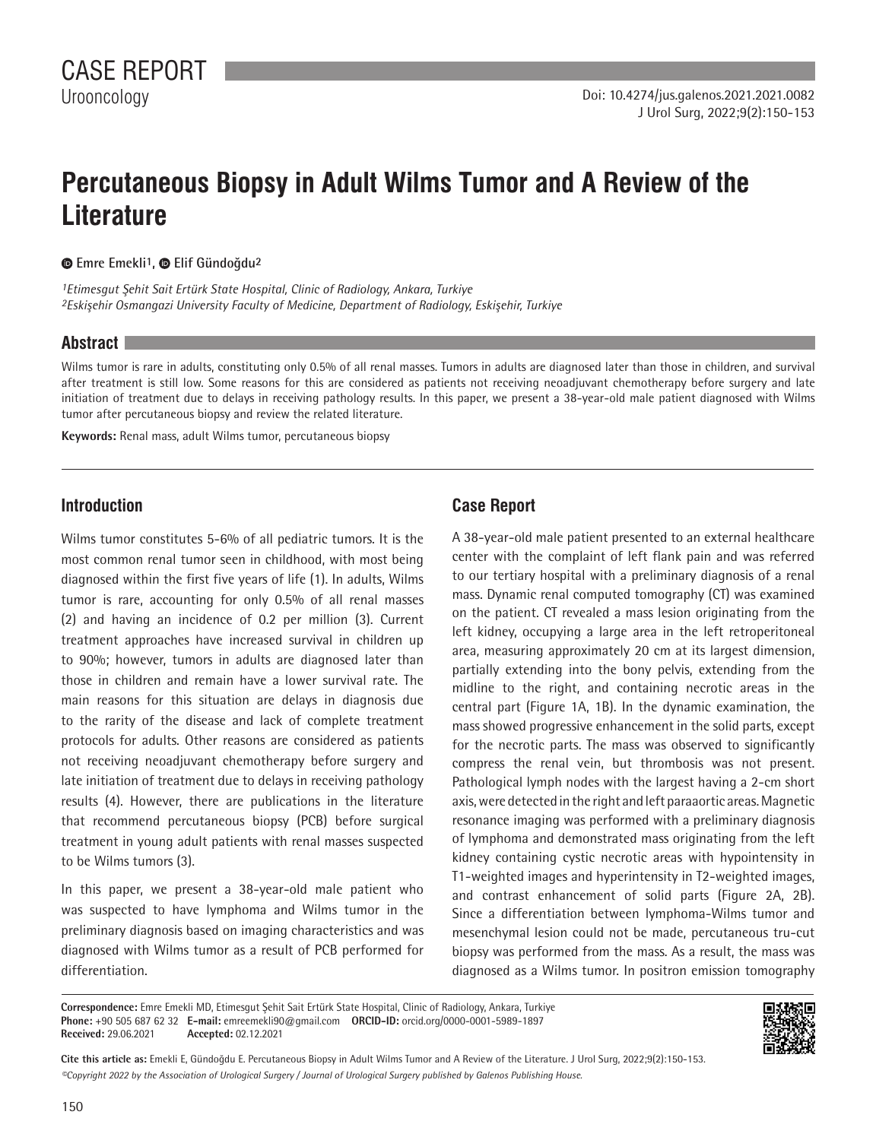# **Percutaneous Biopsy in Adult Wilms Tumor and A Review of the Literature**

**Emre Emekli1, Elif Gündoğdu2**

*1Etimesgut Şehit Sait Ertürk State Hospital, Clinic of Radiology, Ankara, Turkiye 2Eskişehir Osmangazi University Faculty of Medicine, Department of Radiology, Eskişehir, Turkiye*

#### **Abstract**

Wilms tumor is rare in adults, constituting only 0.5% of all renal masses. Tumors in adults are diagnosed later than those in children, and survival after treatment is still low. Some reasons for this are considered as patients not receiving neoadjuvant chemotherapy before surgery and late initiation of treatment due to delays in receiving pathology results. In this paper, we present a 38-year-old male patient diagnosed with Wilms tumor after percutaneous biopsy and review the related literature.

**Keywords:** Renal mass, adult Wilms tumor, percutaneous biopsy

### **Introduction**

Wilms tumor constitutes 5-6% of all pediatric tumors. It is the most common renal tumor seen in childhood, with most being diagnosed within the first five years of life (1). In adults, Wilms tumor is rare, accounting for only 0.5% of all renal masses (2) and having an incidence of 0.2 per million (3). Current treatment approaches have increased survival in children up to 90%; however, tumors in adults are diagnosed later than those in children and remain have a lower survival rate. The main reasons for this situation are delays in diagnosis due to the rarity of the disease and lack of complete treatment protocols for adults. Other reasons are considered as patients not receiving neoadjuvant chemotherapy before surgery and late initiation of treatment due to delays in receiving pathology results (4). However, there are publications in the literature that recommend percutaneous biopsy (PCB) before surgical treatment in young adult patients with renal masses suspected to be Wilms tumors (3).

In this paper, we present a 38-year-old male patient who was suspected to have lymphoma and Wilms tumor in the preliminary diagnosis based on imaging characteristics and was diagnosed with Wilms tumor as a result of PCB performed for differentiation.

## **Case Report**

A 38-year-old male patient presented to an external healthcare center with the complaint of left flank pain and was referred to our tertiary hospital with a preliminary diagnosis of a renal mass. Dynamic renal computed tomography (CT) was examined on the patient. CT revealed a mass lesion originating from the left kidney, occupying a large area in the left retroperitoneal area, measuring approximately 20 cm at its largest dimension, partially extending into the bony pelvis, extending from the midline to the right, and containing necrotic areas in the central part (Figure 1A, 1B). In the dynamic examination, the mass showed progressive enhancement in the solid parts, except for the necrotic parts. The mass was observed to significantly compress the renal vein, but thrombosis was not present. Pathological lymph nodes with the largest having a 2-cm short axis, were detected in the right and left paraaortic areas. Magnetic resonance imaging was performed with a preliminary diagnosis of lymphoma and demonstrated mass originating from the left kidney containing cystic necrotic areas with hypointensity in T1-weighted images and hyperintensity in T2-weighted images, and contrast enhancement of solid parts (Figure 2A, 2B). Since a differentiation between lymphoma-Wilms tumor and mesenchymal lesion could not be made, percutaneous tru-cut biopsy was performed from the mass. As a result, the mass was diagnosed as a Wilms tumor. In positron emission tomography

**Correspondence:** Emre Emekli MD, Etimesgut Şehit Sait Ertürk State Hospital, Clinic of Radiology, Ankara, Turkiye **Phone:** +90 505 687 62 32 **E-mail:** emreemekli90@gmail.com **ORCID-ID:** orcid.org/0000-0001-5989-1897 **Received:** 29.06.2021 **Accepted:** 02.12.2021



*©Copyright 2022 by the Association of Urological Surgery / Journal of Urological Surgery published by Galenos Publishing House.* **Cite this article as:** Emekli E, Gündoğdu E. Percutaneous Biopsy in Adult Wilms Tumor and A Review of the Literature. J Urol Surg, 2022;9(2):150-153.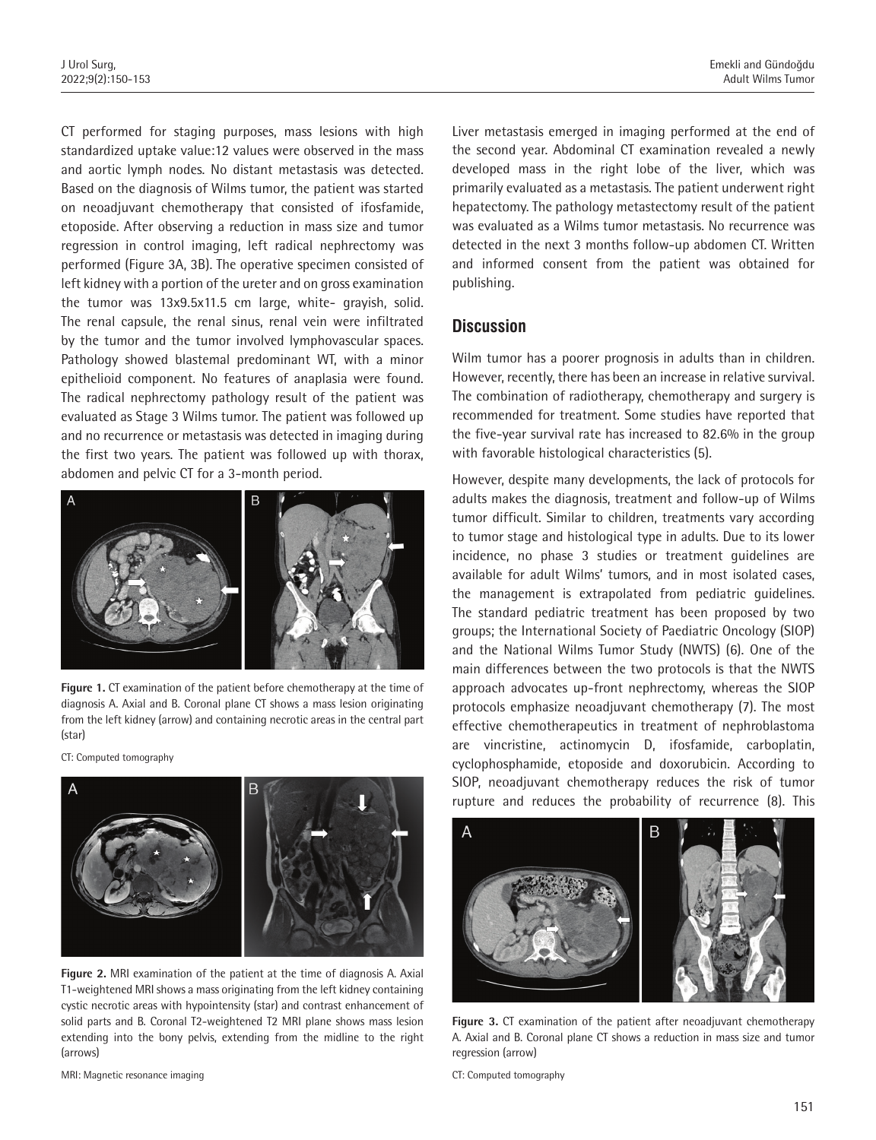CT performed for staging purposes, mass lesions with high standardized uptake value:12 values were observed in the mass and aortic lymph nodes. No distant metastasis was detected. Based on the diagnosis of Wilms tumor, the patient was started on neoadjuvant chemotherapy that consisted of ifosfamide, etoposide. After observing a reduction in mass size and tumor regression in control imaging, left radical nephrectomy was performed (Figure 3A, 3B). The operative specimen consisted of left kidney with a portion of the ureter and on gross examination the tumor was 13x9.5x11.5 cm large, white- grayish, solid. The renal capsule, the renal sinus, renal vein were infiltrated by the tumor and the tumor involved lymphovascular spaces. Pathology showed blastemal predominant WT, with a minor epithelioid component. No features of anaplasia were found. The radical nephrectomy pathology result of the patient was evaluated as Stage 3 Wilms tumor. The patient was followed up and no recurrence or metastasis was detected in imaging during the first two years. The patient was followed up with thorax, abdomen and pelvic CT for a 3-month period.



**Figure 1.** CT examination of the patient before chemotherapy at the time of diagnosis A. Axial and B. Coronal plane CT shows a mass lesion originating from the left kidney (arrow) and containing necrotic areas in the central part (star)

CT: Computed tomography



**Figure 2.** MRI examination of the patient at the time of diagnosis A. Axial T1-weightened MRI shows a mass originating from the left kidney containing cystic necrotic areas with hypointensity (star) and contrast enhancement of solid parts and B. Coronal T2-weightened T2 MRI plane shows mass lesion extending into the bony pelvis, extending from the midline to the right (arrows)

MRI: Magnetic resonance imaging

Liver metastasis emerged in imaging performed at the end of the second year. Abdominal CT examination revealed a newly developed mass in the right lobe of the liver, which was primarily evaluated as a metastasis. The patient underwent right hepatectomy. The pathology metastectomy result of the patient was evaluated as a Wilms tumor metastasis. No recurrence was detected in the next 3 months follow-up abdomen CT. Written and informed consent from the patient was obtained for publishing.

#### **Discussion**

Wilm tumor has a poorer prognosis in adults than in children. However, recently, there has been an increase in relative survival. The combination of radiotherapy, chemotherapy and surgery is recommended for treatment. Some studies have reported that the five-year survival rate has increased to 82.6% in the group with favorable histological characteristics (5).

However, despite many developments, the lack of protocols for adults makes the diagnosis, treatment and follow-up of Wilms tumor difficult. Similar to children, treatments vary according to tumor stage and histological type in adults. Due to its lower incidence, no phase 3 studies or treatment guidelines are available for adult Wilms' tumors, and in most isolated cases, the management is extrapolated from pediatric guidelines. The standard pediatric treatment has been proposed by two groups; the International Society of Paediatric Oncology (SIOP) and the National Wilms Tumor Study (NWTS) (6). One of the main differences between the two protocols is that the NWTS approach advocates up-front nephrectomy, whereas the SIOP protocols emphasize neoadjuvant chemotherapy (7). The most effective chemotherapeutics in treatment of nephroblastoma are vincristine, actinomycin D, ifosfamide, carboplatin, cyclophosphamide, etoposide and doxorubicin. According to SIOP, neoadjuvant chemotherapy reduces the risk of tumor rupture and reduces the probability of recurrence (8). This



**Figure 3.** CT examination of the patient after neoadjuvant chemotherapy A. Axial and B. Coronal plane CT shows a reduction in mass size and tumor regression (arrow)

CT: Computed tomography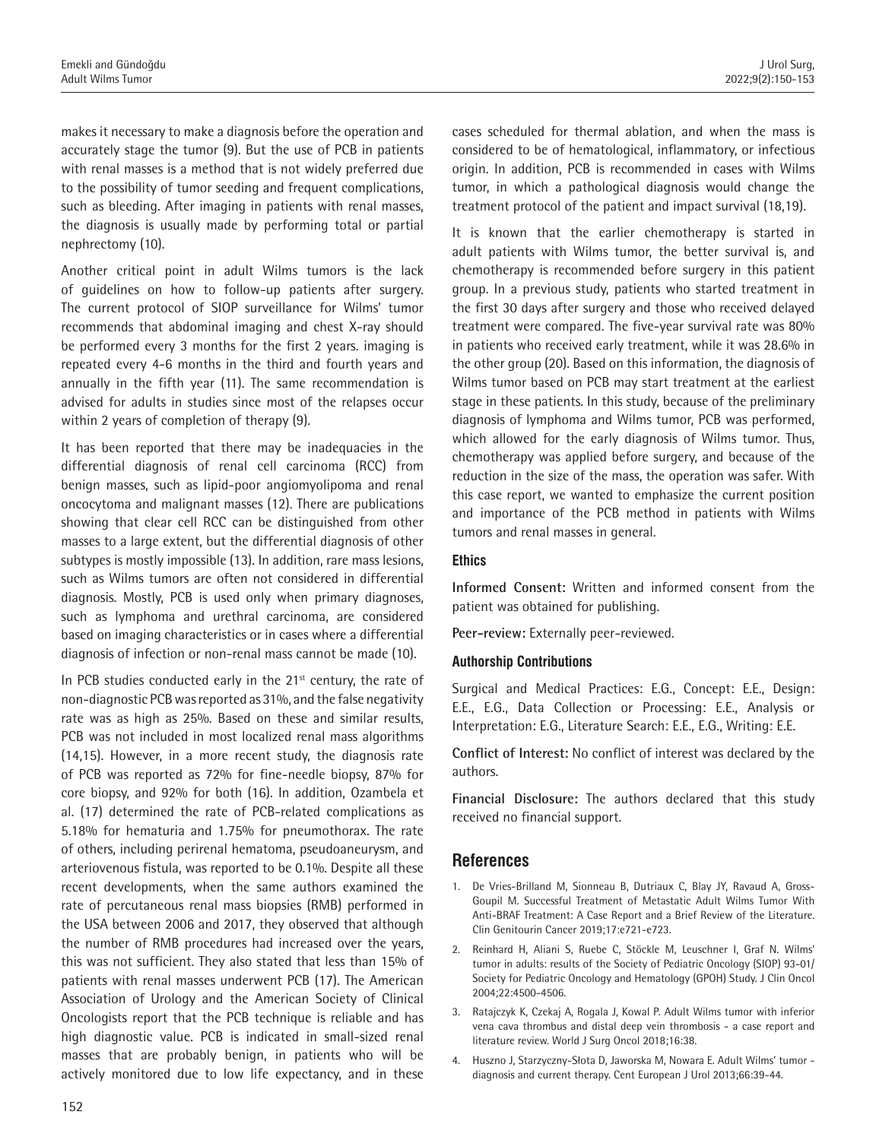makes it necessary to make a diagnosis before the operation and accurately stage the tumor (9). But the use of PCB in patients with renal masses is a method that is not widely preferred due to the possibility of tumor seeding and frequent complications, such as bleeding. After imaging in patients with renal masses, the diagnosis is usually made by performing total or partial nephrectomy (10).

Another critical point in adult Wilms tumors is the lack of guidelines on how to follow-up patients after surgery. The current protocol of SIOP surveillance for Wilms' tumor recommends that abdominal imaging and chest X-ray should be performed every 3 months for the first 2 years. imaging is repeated every 4-6 months in the third and fourth years and annually in the fifth year (11). The same recommendation is advised for adults in studies since most of the relapses occur within 2 years of completion of therapy (9).

It has been reported that there may be inadequacies in the differential diagnosis of renal cell carcinoma (RCC) from benign masses, such as lipid-poor angiomyolipoma and renal oncocytoma and malignant masses (12). There are publications showing that clear cell RCC can be distinguished from other masses to a large extent, but the differential diagnosis of other subtypes is mostly impossible (13). In addition, rare mass lesions, such as Wilms tumors are often not considered in differential diagnosis. Mostly, PCB is used only when primary diagnoses, such as lymphoma and urethral carcinoma, are considered based on imaging characteristics or in cases where a differential diagnosis of infection or non-renal mass cannot be made (10).

In PCB studies conducted early in the 21<sup>st</sup> century, the rate of non-diagnostic PCB was reported as 31%, and the false negativity rate was as high as 25%. Based on these and similar results, PCB was not included in most localized renal mass algorithms (14,15). However, in a more recent study, the diagnosis rate of PCB was reported as 72% for fine-needle biopsy, 87% for core biopsy, and 92% for both (16). In addition, Ozambela et al. (17) determined the rate of PCB-related complications as 5.18% for hematuria and 1.75% for pneumothorax. The rate of others, including perirenal hematoma, pseudoaneurysm, and arteriovenous fistula, was reported to be 0.1%. Despite all these recent developments, when the same authors examined the rate of percutaneous renal mass biopsies (RMB) performed in the USA between 2006 and 2017, they observed that although the number of RMB procedures had increased over the years, this was not sufficient. They also stated that less than 15% of patients with renal masses underwent PCB (17). The American Association of Urology and the American Society of Clinical Oncologists report that the PCB technique is reliable and has high diagnostic value. PCB is indicated in small-sized renal masses that are probably benign, in patients who will be actively monitored due to low life expectancy, and in these

cases scheduled for thermal ablation, and when the mass is considered to be of hematological, inflammatory, or infectious origin. In addition, PCB is recommended in cases with Wilms tumor, in which a pathological diagnosis would change the treatment protocol of the patient and impact survival (18,19).

It is known that the earlier chemotherapy is started in adult patients with Wilms tumor, the better survival is, and chemotherapy is recommended before surgery in this patient group. In a previous study, patients who started treatment in the first 30 days after surgery and those who received delayed treatment were compared. The five-year survival rate was 80% in patients who received early treatment, while it was 28.6% in the other group (20). Based on this information, the diagnosis of Wilms tumor based on PCB may start treatment at the earliest stage in these patients. In this study, because of the preliminary diagnosis of lymphoma and Wilms tumor, PCB was performed, which allowed for the early diagnosis of Wilms tumor. Thus, chemotherapy was applied before surgery, and because of the reduction in the size of the mass, the operation was safer. With this case report, we wanted to emphasize the current position and importance of the PCB method in patients with Wilms tumors and renal masses in general.

#### **Ethics**

**Informed Consent:** Written and informed consent from the patient was obtained for publishing.

**Peer-review:** Externally peer-reviewed.

#### **Authorship Contributions**

Surgical and Medical Practices: E.G., Concept: E.E., Design: E.E., E.G., Data Collection or Processing: E.E., Analysis or Interpretation: E.G., Literature Search: E.E., E.G., Writing: E.E.

**Conflict of Interest:** No conflict of interest was declared by the authors.

**Financial Disclosure:** The authors declared that this study received no financial support.

#### **References**

- 1. De Vries-Brilland M, Sionneau B, Dutriaux C, Blay JY, Ravaud A, Gross-Goupil M. Successful Treatment of Metastatic Adult Wilms Tumor With Anti-BRAF Treatment: A Case Report and a Brief Review of the Literature. Clin Genitourin Cancer 2019;17:e721-e723.
- 2. Reinhard H, Aliani S, Ruebe C, Stöckle M, Leuschner I, Graf N. Wilms' tumor in adults: results of the Society of Pediatric Oncology (SIOP) 93-01/ Society for Pediatric Oncology and Hematology (GPOH) Study. J Clin Oncol 2004;22:4500-4506.
- 3. Ratajczyk K, Czekaj A, Rogala J, Kowal P. Adult Wilms tumor with inferior vena cava thrombus and distal deep vein thrombosis - a case report and literature review. World J Surg Oncol 2018;16:38.
- 4. Huszno J, Starzyczny-Słota D, Jaworska M, Nowara E. Adult Wilms' tumor diagnosis and current therapy. Cent European J Urol 2013;66:39-44.